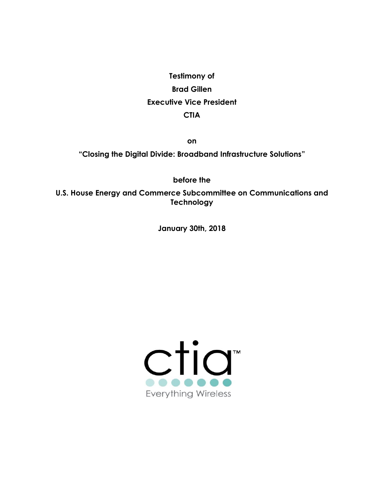**Testimony of Brad Gillen Executive Vice President CTIA**

**on**

**"Closing the Digital Divide: Broadband Infrastructure Solutions"**

**before the**

**U.S. House Energy and Commerce Subcommittee on Communications and Technology**

**January 30th, 2018**

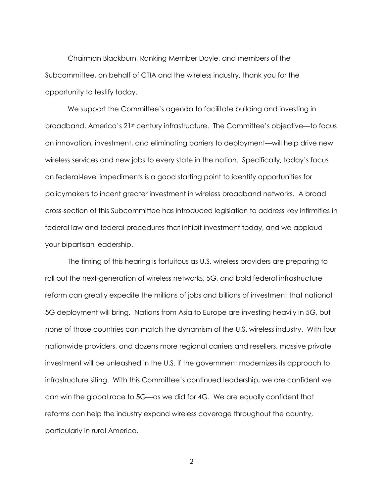Chairman Blackburn, Ranking Member Doyle, and members of the Subcommittee, on behalf of CTIA and the wireless industry, thank you for the opportunity to testify today.

We support the Committee's agenda to facilitate building and investing in broadband, America's 21st century infrastructure. The Committee's objective—to focus on innovation, investment, and eliminating barriers to deployment—will help drive new wireless services and new jobs to every state in the nation. Specifically, today's focus on federal-level impediments is a good starting point to identify opportunities for policymakers to incent greater investment in wireless broadband networks. A broad cross-section of this Subcommittee has introduced legislation to address key infirmities in federal law and federal procedures that inhibit investment today, and we applaud your bipartisan leadership.

The timing of this hearing is fortuitous as U.S. wireless providers are preparing to roll out the next-generation of wireless networks, 5G, and bold federal infrastructure reform can greatly expedite the millions of jobs and billions of investment that national 5G deployment will bring. Nations from Asia to Europe are investing heavily in 5G, but none of those countries can match the dynamism of the U.S. wireless industry. With four nationwide providers, and dozens more regional carriers and resellers, massive private investment will be unleashed in the U.S. if the government modernizes its approach to infrastructure siting. With this Committee's continued leadership, we are confident we can win the global race to 5G—as we did for 4G. We are equally confident that reforms can help the industry expand wireless coverage throughout the country, particularly in rural America.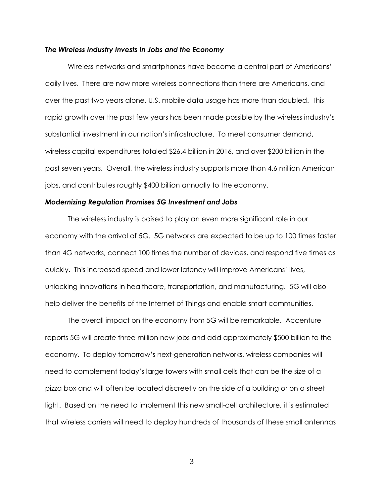#### *The Wireless Industry Invests In Jobs and the Economy*

Wireless networks and smartphones have become a central part of Americans' daily lives. There are now more wireless connections than there are Americans, and over the past two years alone, U.S. mobile data usage has more than doubled. This rapid growth over the past few years has been made possible by the wireless industry's substantial investment in our nation's infrastructure. To meet consumer demand, wireless capital expenditures totaled \$26.4 billion in 2016, and over \$200 billion in the past seven years. Overall, the wireless industry supports more than 4.6 million American jobs, and contributes roughly \$400 billion annually to the economy.

#### *Modernizing Regulation Promises 5G Investment and Jobs*

The wireless industry is poised to play an even more significant role in our economy with the arrival of 5G. 5G networks are expected to be up to 100 times faster than 4G networks, connect 100 times the number of devices, and respond five times as quickly. This increased speed and lower latency will improve Americans' lives, unlocking innovations in healthcare, transportation, and manufacturing. 5G will also help deliver the benefits of the Internet of Things and enable smart communities.

The overall impact on the economy from 5G will be remarkable. Accenture reports 5G will create three million new jobs and add approximately \$500 billion to the economy. To deploy tomorrow's next-generation networks, wireless companies will need to complement today's large towers with small cells that can be the size of a pizza box and will often be located discreetly on the side of a building or on a street light. Based on the need to implement this new small-cell architecture, it is estimated that wireless carriers will need to deploy hundreds of thousands of these small antennas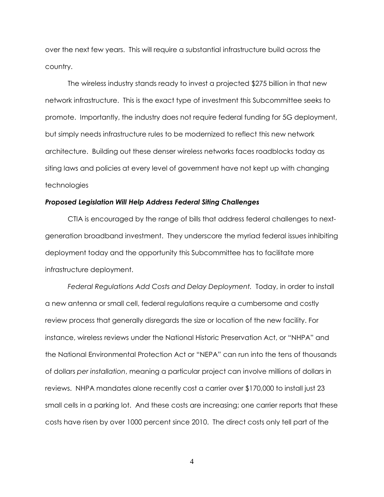over the next few years. This will require a substantial infrastructure build across the country.

The wireless industry stands ready to invest a projected \$275 billion in that new network infrastructure. This is the exact type of investment this Subcommittee seeks to promote. Importantly, the industry does not require federal funding for 5G deployment, but simply needs infrastructure rules to be modernized to reflect this new network architecture. Building out these denser wireless networks faces roadblocks today as siting laws and policies at every level of government have not kept up with changing technologies

## *Proposed Legislation Will Help Address Federal Siting Challenges*

CTIA is encouraged by the range of bills that address federal challenges to nextgeneration broadband investment. They underscore the myriad federal issues inhibiting deployment today and the opportunity this Subcommittee has to facilitate more infrastructure deployment.

*Federal Regulations Add Costs and Delay Deployment.* Today, in order to install a new antenna or small cell, federal regulations require a cumbersome and costly review process that generally disregards the size or location of the new facility. For instance, wireless reviews under the National Historic Preservation Act, or "NHPA" and the National Environmental Protection Act or "NEPA" can run into the tens of thousands of dollars *per installation*, meaning a particular project can involve millions of dollars in reviews. NHPA mandates alone recently cost a carrier over \$170,000 to install just 23 small cells in a parking lot. And these costs are increasing; one carrier reports that these costs have risen by over 1000 percent since 2010. The direct costs only tell part of the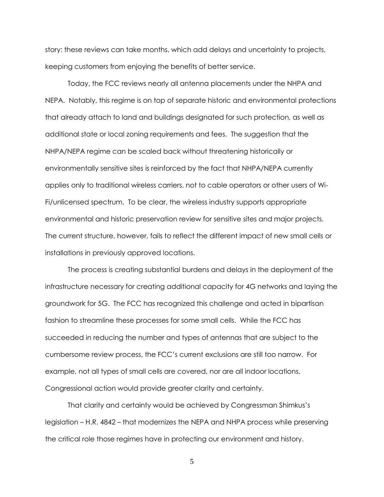story: these reviews can take months, which add delays and uncertainty to projects, keeping customers from enjoying the benefits of better service.

Today, the FCC reviews nearly all antenna placements under the NHPA and NEPA. Notably, this regime is on top of separate historic and environmental protections that already attach to land and buildings designated for such protection, as well as additional state or local zoning requirements and fees. The suggestion that the NHPA/NEPA regime can be scaled back without threatening historically or environmentally sensitive sites is reinforced by the fact that NHPA/NEPA currently applies only to traditional wireless carriers, not to cable operators or other users of Wi-Fi/unlicensed spectrum. To be clear, the wireless industry supports appropriate environmental and historic preservation review for sensitive sites and major projects. The current structure, however, fails to reflect the different impact of new small cells or installations in previously approved locations.

The process is creating substantial burdens and delays in the deployment of the infrastructure necessary for creating additional capacity for 4G networks and laying the groundwork for 5G. The FCC has recognized this challenge and acted in bipartisan fashion to streamline these processes for some small cells. While the FCC has succeeded in reducing the number and types of antennas that are subject to the cumbersome review process, the FCC's current exclusions are still too narrow. For example, not all types of small cells are covered, nor are all indoor locations. Congressional action would provide greater clarity and certainty.

That clarity and certainty would be achieved by Congressman Shimkus's legislation – H.R. 4842 – that modernizes the NEPA and NHPA process while preserving the critical role those regimes have in protecting our environment and history.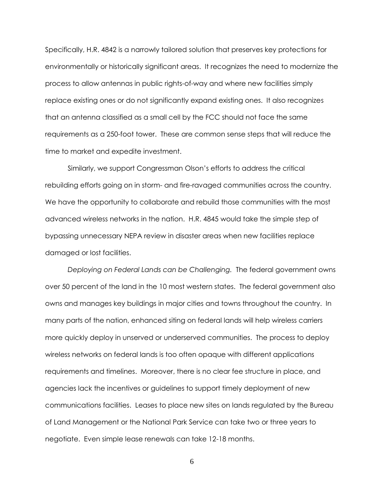Specifically, H.R. 4842 is a narrowly tailored solution that preserves key protections for environmentally or historically significant areas. It recognizes the need to modernize the process to allow antennas in public rights-of-way and where new facilities simply replace existing ones or do not significantly expand existing ones. It also recognizes that an antenna classified as a small cell by the FCC should not face the same requirements as a 250-foot tower. These are common sense steps that will reduce the time to market and expedite investment.

Similarly, we support Congressman Olson's efforts to address the critical rebuilding efforts going on in storm- and fire-ravaged communities across the country. We have the opportunity to collaborate and rebuild those communities with the most advanced wireless networks in the nation. H.R. 4845 would take the simple step of bypassing unnecessary NEPA review in disaster areas when new facilities replace damaged or lost facilities.

*Deploying on Federal Lands can be Challenging.* The federal government owns over 50 percent of the land in the 10 most western states. The federal government also owns and manages key buildings in major cities and towns throughout the country. In many parts of the nation, enhanced siting on federal lands will help wireless carriers more quickly deploy in unserved or underserved communities. The process to deploy wireless networks on federal lands is too often opaque with different applications requirements and timelines. Moreover, there is no clear fee structure in place, and agencies lack the incentives or guidelines to support timely deployment of new communications facilities. Leases to place new sites on lands regulated by the Bureau of Land Management or the National Park Service can take two or three years to negotiate. Even simple lease renewals can take 12-18 months.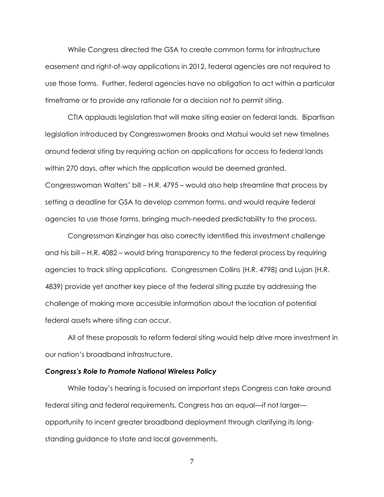While Congress directed the GSA to create common forms for infrastructure easement and right-of-way applications in 2012, federal agencies are not required to use those forms. Further, federal agencies have no obligation to act within a particular timeframe or to provide any rationale for a decision not to permit siting.

CTIA applauds legislation that will make siting easier on federal lands. Bipartisan legislation introduced by Congresswomen Brooks and Matsui would set new timelines around federal siting by requiring action on applications for access to federal lands within 270 days, after which the application would be deemed granted. Congresswoman Walters' bill – H.R. 4795 – would also help streamline that process by setting a deadline for GSA to develop common forms, and would require federal agencies to use those forms, bringing much-needed predictability to the process.

Congressman Kinzinger has also correctly identified this investment challenge and his bill – H.R. 4082 – would bring transparency to the federal process by requiring agencies to track siting applications. Congressmen Collins (H.R. 4798) and Lujan (H.R. 4839) provide yet another key piece of the federal siting puzzle by addressing the challenge of making more accessible information about the location of potential federal assets where siting can occur.

All of these proposals to reform federal siting would help drive more investment in our nation's broadband infrastructure.

## *Congress's Role to Promote National Wireless Policy*

While today's hearing is focused on important steps Congress can take around federal siting and federal requirements, Congress has an equal—if not larger opportunity to incent greater broadband deployment through clarifying its longstanding guidance to state and local governments.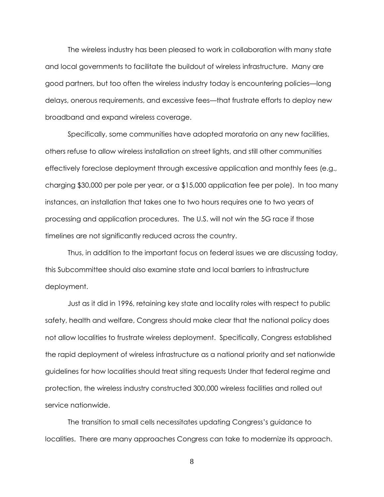The wireless industry has been pleased to work in collaboration with many state and local governments to facilitate the buildout of wireless infrastructure. Many are good partners, but too often the wireless industry today is encountering policies—long delays, onerous requirements, and excessive fees—that frustrate efforts to deploy new broadband and expand wireless coverage.

Specifically, some communities have adopted moratoria on any new facilities, others refuse to allow wireless installation on street lights, and still other communities effectively foreclose deployment through excessive application and monthly fees (e.g., charging \$30,000 per pole per year, or a \$15,000 application fee per pole). In too many instances, an installation that takes one to two hours requires one to two years of processing and application procedures. The U.S. will not win the 5G race if those timelines are not significantly reduced across the country.

Thus, in addition to the important focus on federal issues we are discussing today, this Subcommittee should also examine state and local barriers to infrastructure deployment.

Just as it did in 1996, retaining key state and locality roles with respect to public safety, health and welfare, Congress should make clear that the national policy does not allow localities to frustrate wireless deployment. Specifically, Congress established the rapid deployment of wireless infrastructure as a national priority and set nationwide guidelines for how localities should treat siting requests Under that federal regime and protection, the wireless industry constructed 300,000 wireless facilities and rolled out service nationwide.

The transition to small cells necessitates updating Congress's guidance to localities. There are many approaches Congress can take to modernize its approach.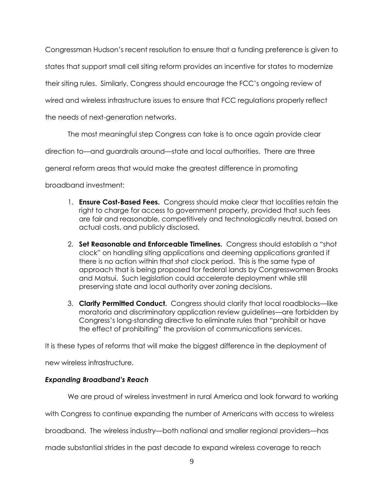Congressman Hudson's recent resolution to ensure that a funding preference is given to

states that support small cell siting reform provides an incentive for states to modernize

their siting rules. Similarly, Congress should encourage the FCC's ongoing review of

wired and wireless infrastructure issues to ensure that FCC regulations properly reflect

the needs of next-generation networks.

The most meaningful step Congress can take is to once again provide clear

direction to—and guardrails around—state and local authorities. There are three

general reform areas that would make the greatest difference in promoting

broadband investment:

- 1. **Ensure Cost-Based Fees.** Congress should make clear that localities retain the right to charge for access to government property, provided that such fees are fair and reasonable, competitively and technologically neutral, based on actual costs, and publicly disclosed.
- 2. **Set Reasonable and Enforceable Timelines.** Congress should establish a "shot clock" on handling siting applications and deeming applications granted if there is no action within that shot clock period. This is the same type of approach that is being proposed for federal lands by Congresswomen Brooks and Matsui. Such legislation could accelerate deployment while still preserving state and local authority over zoning decisions.
- 3. **Clarify Permitted Conduct.** Congress should clarify that local roadblocks—like moratoria and discriminatory application review guidelines—are forbidden by Congress's long-standing directive to eliminate rules that "prohibit or have the effect of prohibiting" the provision of communications services.

It is these types of reforms that will make the biggest difference in the deployment of

new wireless infrastructure.

# *Expanding Broadband's Reach*

We are proud of wireless investment in rural America and look forward to working

with Congress to continue expanding the number of Americans with access to wireless

broadband. The wireless industry—both national and smaller regional providers—has

made substantial strides in the past decade to expand wireless coverage to reach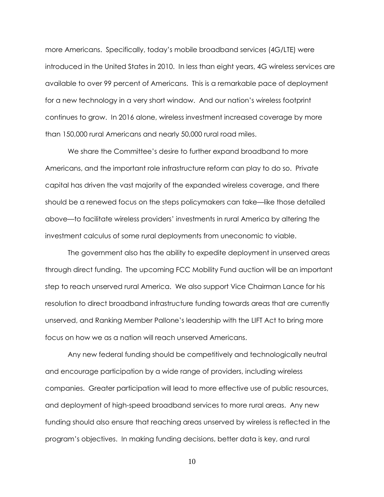more Americans. Specifically, today's mobile broadband services (4G/LTE) were introduced in the United States in 2010. In less than eight years, 4G wireless services are available to over 99 percent of Americans. This is a remarkable pace of deployment for a new technology in a very short window. And our nation's wireless footprint continues to grow. In 2016 alone, wireless investment increased coverage by more than 150,000 rural Americans and nearly 50,000 rural road miles.

We share the Committee's desire to further expand broadband to more Americans, and the important role infrastructure reform can play to do so. Private capital has driven the vast majority of the expanded wireless coverage, and there should be a renewed focus on the steps policymakers can take—like those detailed above—to facilitate wireless providers' investments in rural America by altering the investment calculus of some rural deployments from uneconomic to viable.

The government also has the ability to expedite deployment in unserved areas through direct funding. The upcoming FCC Mobility Fund auction will be an important step to reach unserved rural America. We also support Vice Chairman Lance for his resolution to direct broadband infrastructure funding towards areas that are currently unserved, and Ranking Member Pallone's leadership with the LIFT Act to bring more focus on how we as a nation will reach unserved Americans.

Any new federal funding should be competitively and technologically neutral and encourage participation by a wide range of providers, including wireless companies. Greater participation will lead to more effective use of public resources, and deployment of high-speed broadband services to more rural areas. Any new funding should also ensure that reaching areas unserved by wireless is reflected in the program's objectives. In making funding decisions, better data is key, and rural